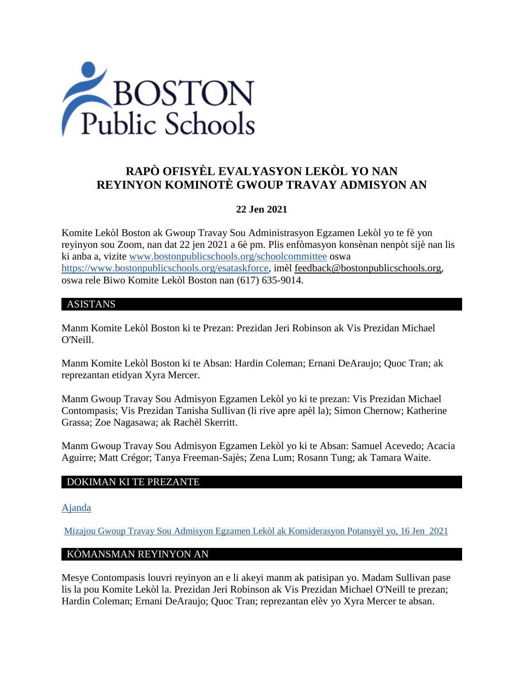

# **RAPÒ OFISYÈL EVALYASYON LEKÒL YO NAN REYINYON KOMINOTÈ GWOUP TRAVAY ADMISYON AN**

### **22 Jen 2021**

Komite Lekòl Boston ak Gwoup Travay Sou Administrasyon Egzamen Lekòl yo te fè yon reyinyon sou Zoom, nan dat 22 jen 2021 a 6è pm. Plis enfòmasyon konsènan nenpòt sijè nan lis ki anba a, vizite [www.bostonpublicschools.org/schoolcommittee](https://www.bostonpublicschools.org/domain/162) oswa [https://www.bostonpublicschools.org/esataskforce,](https://www.bostonpublicschools.org/esataskforce) imèl [feedback@bostonpublicschools.org,](mailto:feedback@bostonpublicschools.org) oswa rele Biwo Komite Lekòl Boston nan (617) 635-9014.

#### ASISTANS

Manm Komite Lekòl Boston ki te Prezan: Prezidan Jeri Robinson ak Vis Prezidan Michael O'Neill.

Manm Komite Lekòl Boston ki te Absan: Hardin Coleman; Ernani DeAraujo; Quoc Tran; ak reprezantan etidyan Xyra Mercer.

Manm Gwoup Travay Sou Admisyon Egzamen Lekòl yo ki te prezan: Vis Prezidan Michael Contompasis; Vis Prezidan Tanisha Sullivan (li rive apre apèl la); Simon Chernow; Katherine Grassa; Zoe Nagasawa; ak Rachèl Skerritt.

Manm Gwoup Travay Sou Admisyon Egzamen Lekòl yo ki te Absan: Samuel Acevedo; Acacia Aguirre; Matt Crégor; Tanya Freeman-Sajès; Zena Lum; Rosann Tung; ak Tamara Waite.

### DOKIMAN KI TE PREZANTE

[Ajanda](https://www.boston.gov/public-notices/15756251)

[Mizajou Gwoup Travay Sou Admisyon Egzamen Lekòl ak Konsiderasyon Potansyèl](https://www.bostonpublicschools.org/cms/lib/MA01906464/Centricity/Domain/162/Exam%20Schools%20Task%20Force%20Presentation%20to%20School%20Committee%20Final%202.pdf) yo, 16 Jen 2021

#### KÒMANSMAN REYINYON AN

Mesye Contompasis louvri reyinyon an e li akeyi manm ak patisipan yo. Madam Sullivan pase lis la pou Komite Lekòl la. Prezidan Jeri Robinson ak Vis Prezidan Michael O'Neill te prezan; Hardin Coleman; Ernani DeAraujo; Quoc Tran; reprezantan elèv yo Xyra Mercer te absan.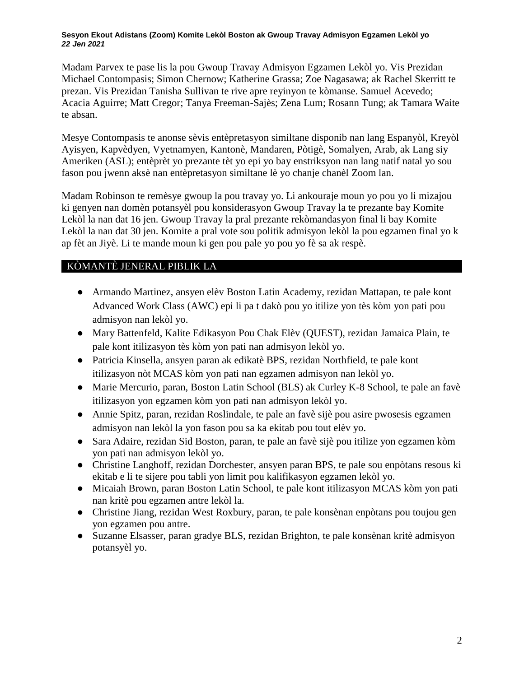#### **Sesyon Ekout Adistans (Zoom) Komite Lekòl Boston ak Gwoup Travay Admisyon Egzamen Lekòl yo** *22 Jen 2021*

Madam Parvex te pase lis la pou Gwoup Travay Admisyon Egzamen Lekòl yo. Vis Prezidan Michael Contompasis; Simon Chernow; Katherine Grassa; Zoe Nagasawa; ak Rachel Skerritt te prezan. Vis Prezidan Tanisha Sullivan te rive apre reyinyon te kòmanse. Samuel Acevedo; Acacia Aguirre; Matt Cregor; Tanya Freeman-Sajès; Zena Lum; Rosann Tung; ak Tamara Waite te absan.

Mesye Contompasis te anonse sèvis entèpretasyon similtane disponib nan lang Espanyòl, Kreyòl Ayisyen, Kapvèdyen, Vyetnamyen, Kantonè, Mandaren, Pòtigè, Somalyen, Arab, ak Lang siy Ameriken (ASL); entèprèt yo prezante tèt yo epi yo bay enstriksyon nan lang natif natal yo sou fason pou jwenn aksè nan entèpretasyon similtane lè yo chanje chanèl Zoom lan.

Madam Robinson te remèsye gwoup la pou travay yo. Li ankouraje moun yo pou yo li mizajou ki genyen nan domèn potansyèl pou konsiderasyon Gwoup Travay la te prezante bay Komite Lekòl la nan dat 16 jen. Gwoup Travay la pral prezante rekòmandasyon final li bay Komite Lekòl la nan dat 30 jen. Komite a pral vote sou politik admisyon lekòl la pou egzamen final yo k ap fèt an Jiyè. Li te mande moun ki gen pou pale yo pou yo fè sa ak respè.

## KÒMANTÈ JENERAL PIBLIK LA

- Armando Martinez, ansyen elèv Boston Latin Academy, rezidan Mattapan, te pale kont Advanced Work Class (AWC) epi li pa t dakò pou yo itilize yon tès kòm yon pati pou admisyon nan lekòl yo.
- Mary Battenfeld, Kalite Edikasyon Pou Chak Elèv (QUEST), rezidan Jamaica Plain, te pale kont itilizasyon tès kòm yon pati nan admisyon lekòl yo.
- Patricia Kinsella, ansyen paran ak edikatè BPS, rezidan Northfield, te pale kont itilizasyon nòt MCAS kòm yon pati nan egzamen admisyon nan lekòl yo.
- Marie Mercurio, paran, Boston Latin School (BLS) ak Curley K-8 School, te pale an favè itilizasyon yon egzamen kòm yon pati nan admisyon lekòl yo.
- Annie Spitz, paran, rezidan Roslindale, te pale an favè sijè pou asire pwosesis egzamen admisyon nan lekòl la yon fason pou sa ka ekitab pou tout elèv yo.
- Sara Adaire, rezidan Sid Boston, paran, te pale an favè sijè pou itilize yon egzamen kòm yon pati nan admisyon lekòl yo.
- Christine Langhoff, rezidan Dorchester, ansyen paran BPS, te pale sou enpòtans resous ki ekitab e li te sijere pou tabli yon limit pou kalifikasyon egzamen lekòl yo.
- Micaiah Brown, paran Boston Latin School, te pale kont itilizasyon MCAS kòm yon pati nan kritè pou egzamen antre lekòl la.
- Christine Jiang, rezidan West Roxbury, paran, te pale konsènan enpòtans pou toujou gen yon egzamen pou antre.
- Suzanne Elsasser, paran gradye BLS, rezidan Brighton, te pale konsènan kritè admisyon potansyèl yo.